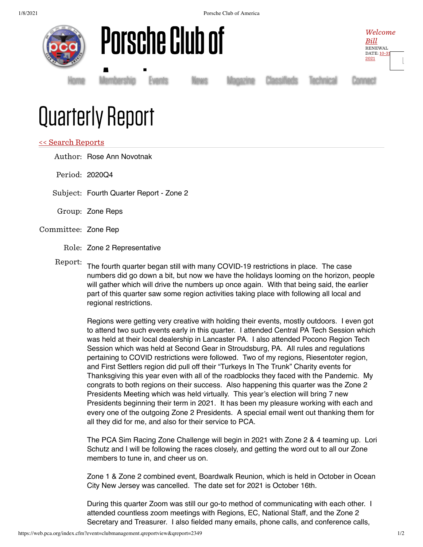





Membership<br>|

[Home](https://www.pca.org/) [Membership](https://www.pca.org/membership) [Events](https://www.pca.org/events) [News](https://www.pca.org/news) [Magazine](https://www.pca.org/panorama/edition/panorama-june-2015) [Classifieds](https://www.pca.org/browse-the-mart-classified-ads) [Technical](https://www.pca.org/technical-question-search) [Connect](https://www.pca.org/contact)

## Quarterly Report

## << Search [Reports](https://web.pca.org/?event=clubmanagement.qreports)

Author: Rose Ann Novotnak

- Period: 2020Q4
- Subject: Fourth Quarter Report Zone 2
- Group: Zone Reps
- Committee: Zone Rep
	- Role: Zone 2 Representative
	-

Report: The fourth quarter began still with many COVID-19 restrictions in place. The case numbers did go down a bit, but now we have the holidays looming on the horizon, people will gather which will drive the numbers up once again. With that being said, the earlier part of this quarter saw some region activities taking place with following all local and regional restrictions.

Regions were getting very creative with holding their events, mostly outdoors. I even got to attend two such events early in this quarter. I attended Central PA Tech Session which was held at their local dealership in Lancaster PA. I also attended Pocono Region Tech Session which was held at Second Gear in Stroudsburg, PA. All rules and regulations pertaining to COVID restrictions were followed. Two of my regions, Riesentoter region, and First Settlers region did pull off their "Turkeys In The Trunk" Charity events for Thanksgiving this year even with all of the roadblocks they faced with the Pandemic. My congrats to both regions on their success. Also happening this quarter was the Zone 2 Presidents Meeting which was held virtually. This year's election will bring 7 new Presidents beginning their term in 2021. It has been my pleasure working with each and every one of the outgoing Zone 2 Presidents. A special email went out thanking them for all they did for me, and also for their service to PCA.

The PCA Sim Racing Zone Challenge will begin in 2021 with Zone 2 & 4 teaming up. Lori Schutz and I will be following the races closely, and getting the word out to all our Zone members to tune in, and cheer us on.

Zone 1 & Zone 2 combined event, Boardwalk Reunion, which is held in October in Ocean City New Jersey was cancelled. The date set for 2021 is October 16th.

During this quarter Zoom was still our go-to method of communicating with each other. I attended countless zoom meetings with Regions, EC, National Staff, and the Zone 2 Secretary and Treasurer. I also fielded many emails, phone calls, and conference calls,